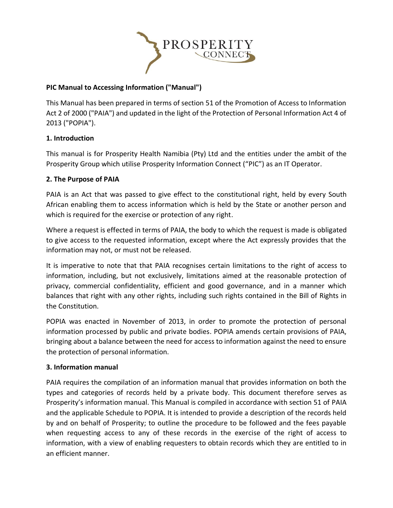

# **PIC Manual to Accessing Information ("Manual")**

This Manual has been prepared in terms of section 51 of the Promotion of Access to Information Act 2 of 2000 ("PAIA") and updated in the light of the Protection of Personal Information Act 4 of 2013 ("POPIA").

## **1. Introduction**

This manual is for Prosperity Health Namibia (Pty) Ltd and the entities under the ambit of the Prosperity Group which utilise Prosperity Information Connect ("PIC") as an IT Operator.

## **2. The Purpose of PAIA**

PAIA is an Act that was passed to give effect to the constitutional right, held by every South African enabling them to access information which is held by the State or another person and which is required for the exercise or protection of any right.

Where a request is effected in terms of PAIA, the body to which the request is made is obligated to give access to the requested information, except where the Act expressly provides that the information may not, or must not be released.

It is imperative to note that that PAIA recognises certain limitations to the right of access to information, including, but not exclusively, limitations aimed at the reasonable protection of privacy, commercial confidentiality, efficient and good governance, and in a manner which balances that right with any other rights, including such rights contained in the Bill of Rights in the Constitution.

POPIA was enacted in November of 2013, in order to promote the protection of personal information processed by public and private bodies. POPIA amends certain provisions of PAIA, bringing about a balance between the need for access to information against the need to ensure the protection of personal information.

### **3. Information manual**

PAIA requires the compilation of an information manual that provides information on both the types and categories of records held by a private body. This document therefore serves as Prosperity's information manual. This Manual is compiled in accordance with section 51 of PAIA and the applicable Schedule to POPIA. It is intended to provide a description of the records held by and on behalf of Prosperity; to outline the procedure to be followed and the fees payable when requesting access to any of these records in the exercise of the right of access to information, with a view of enabling requesters to obtain records which they are entitled to in an efficient manner.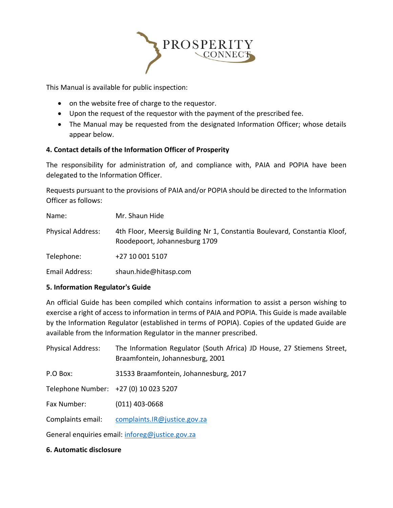

This Manual is available for public inspection:

- on the website free of charge to the requestor.
- Upon the request of the requestor with the payment of the prescribed fee.
- The Manual may be requested from the designated Information Officer; whose details appear below.

## **4. Contact details of the Information Officer of Prosperity**

The responsibility for administration of, and compliance with, PAIA and POPIA have been delegated to the Information Officer.

Requests pursuant to the provisions of PAIA and/or POPIA should be directed to the Information Officer as follows:

| Name:                    | Mr. Shaun Hide                                                                                             |
|--------------------------|------------------------------------------------------------------------------------------------------------|
| <b>Physical Address:</b> | 4th Floor, Meersig Building Nr 1, Constantia Boulevard, Constantia Kloof,<br>Roodepoort, Johannesburg 1709 |
| Telephone:               | +27 10 001 5107                                                                                            |
| Email Address:           | shaun.hide@hitasp.com                                                                                      |

### **5. Information Regulator's Guide**

An official Guide has been compiled which contains information to assist a person wishing to exercise a right of access to information in terms of PAIA and POPIA. This Guide is made available by the Information Regulator (established in terms of POPIA). Copies of the updated Guide are available from the Information Regulator in the manner prescribed.

| <b>Physical Address:</b>                        | The Information Regulator (South Africa) JD House, 27 Stiemens Street,<br>Braamfontein, Johannesburg, 2001 |
|-------------------------------------------------|------------------------------------------------------------------------------------------------------------|
| P.O Box:                                        | 31533 Braamfontein, Johannesburg, 2017                                                                     |
|                                                 | Telephone Number: +27 (0) 10 023 5207                                                                      |
| Fax Number:                                     | $(011)$ 403-0668                                                                                           |
| Complaints email:                               | complaints.IR@justice.gov.za                                                                               |
| General enquiries email: inforeg@justice.gov.za |                                                                                                            |

### **6. Automatic disclosure**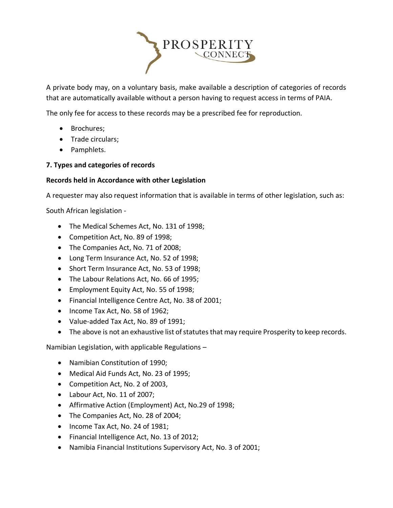

A private body may, on a voluntary basis, make available a description of categories of records that are automatically available without a person having to request access in terms of PAIA.

The only fee for access to these records may be a prescribed fee for reproduction.

- Brochures;
- Trade circulars;
- Pamphlets.

# **7. Types and categories of records**

## **Records held in Accordance with other Legislation**

A requester may also request information that is available in terms of other legislation, such as:

South African legislation -

- The Medical Schemes Act, No. 131 of 1998;
- Competition Act, No. 89 of 1998;
- The Companies Act, No. 71 of 2008;
- Long Term Insurance Act, No. 52 of 1998;
- Short Term Insurance Act, No. 53 of 1998;
- The Labour Relations Act, No. 66 of 1995;
- Employment Equity Act, No. 55 of 1998;
- Financial Intelligence Centre Act, No. 38 of 2001;
- Income Tax Act, No. 58 of 1962;
- Value-added Tax Act, No. 89 of 1991;
- The above is not an exhaustive list of statutes that may require Prosperity to keep records.

Namibian Legislation, with applicable Regulations –

- Namibian Constitution of 1990;
- Medical Aid Funds Act, No. 23 of 1995;
- Competition Act, No. 2 of 2003,
- Labour Act, No. 11 of 2007;
- Affirmative Action (Employment) Act, No.29 of 1998;
- The Companies Act, No. 28 of 2004;
- Income Tax Act, No. 24 of 1981;
- Financial Intelligence Act, No. 13 of 2012;
- Namibia Financial Institutions Supervisory Act, No. 3 of 2001;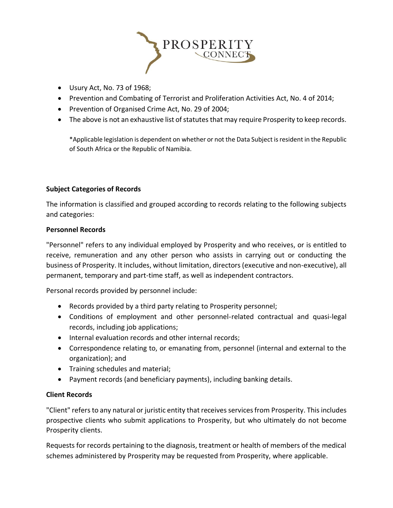

- Usury Act, No. 73 of 1968;
- Prevention and Combating of Terrorist and Proliferation Activities Act, No. 4 of 2014;
- Prevention of Organised Crime Act, No. 29 of 2004;
- The above is not an exhaustive list of statutes that may require Prosperity to keep records.

\*Applicable legislation is dependent on whether or not the Data Subject is resident in the Republic of South Africa or the Republic of Namibia.

## **Subject Categories of Records**

The information is classified and grouped according to records relating to the following subjects and categories:

### **Personnel Records**

"Personnel" refers to any individual employed by Prosperity and who receives, or is entitled to receive, remuneration and any other person who assists in carrying out or conducting the business of Prosperity. It includes, without limitation, directors (executive and non-executive), all permanent, temporary and part-time staff, as well as independent contractors.

Personal records provided by personnel include:

- Records provided by a third party relating to Prosperity personnel;
- Conditions of employment and other personnel-related contractual and quasi-legal records, including job applications;
- Internal evaluation records and other internal records;
- Correspondence relating to, or emanating from, personnel (internal and external to the organization); and
- Training schedules and material;
- Payment records (and beneficiary payments), including banking details.

## **Client Records**

"Client" refers to any natural or juristic entity that receives services from Prosperity. This includes prospective clients who submit applications to Prosperity, but who ultimately do not become Prosperity clients.

Requests for records pertaining to the diagnosis, treatment or health of members of the medical schemes administered by Prosperity may be requested from Prosperity, where applicable.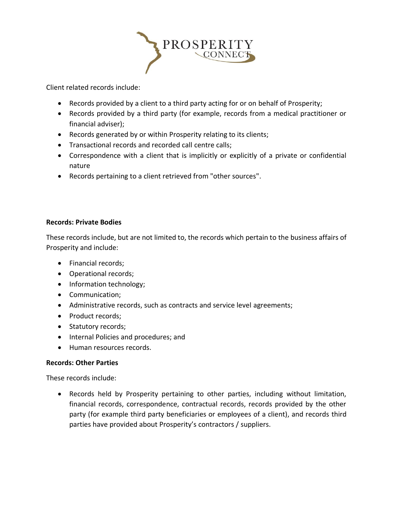

Client related records include:

- Records provided by a client to a third party acting for or on behalf of Prosperity;
- Records provided by a third party (for example, records from a medical practitioner or financial adviser);
- Records generated by or within Prosperity relating to its clients;
- Transactional records and recorded call centre calls;
- Correspondence with a client that is implicitly or explicitly of a private or confidential nature
- Records pertaining to a client retrieved from "other sources".

## **Records: Private Bodies**

These records include, but are not limited to, the records which pertain to the business affairs of Prosperity and include:

- Financial records;
- Operational records;
- Information technology;
- Communication;
- Administrative records, such as contracts and service level agreements;
- Product records;
- Statutory records;
- Internal Policies and procedures; and
- Human resources records.

## **Records: Other Parties**

These records include:

• Records held by Prosperity pertaining to other parties, including without limitation, financial records, correspondence, contractual records, records provided by the other party (for example third party beneficiaries or employees of a client), and records third parties have provided about Prosperity's contractors / suppliers.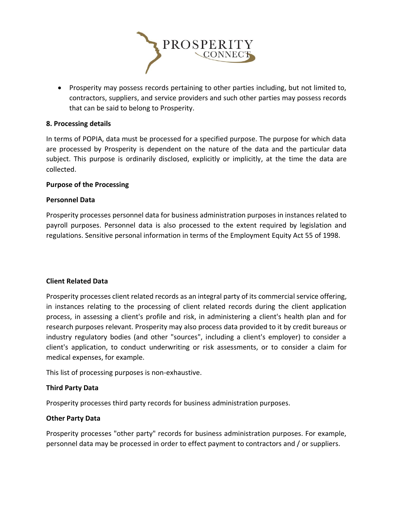

• Prosperity may possess records pertaining to other parties including, but not limited to, contractors, suppliers, and service providers and such other parties may possess records that can be said to belong to Prosperity.

### **8. Processing details**

In terms of POPIA, data must be processed for a specified purpose. The purpose for which data are processed by Prosperity is dependent on the nature of the data and the particular data subject. This purpose is ordinarily disclosed, explicitly or implicitly, at the time the data are collected.

### **Purpose of the Processing**

### **Personnel Data**

Prosperity processes personnel data for business administration purposes in instances related to payroll purposes. Personnel data is also processed to the extent required by legislation and regulations. Sensitive personal information in terms of the Employment Equity Act 55 of 1998.

#### **Client Related Data**

Prosperity processes client related records as an integral party of its commercial service offering, in instances relating to the processing of client related records during the client application process, in assessing a client's profile and risk, in administering a client's health plan and for research purposes relevant. Prosperity may also process data provided to it by credit bureaus or industry regulatory bodies (and other "sources", including a client's employer) to consider a client's application, to conduct underwriting or risk assessments, or to consider a claim for medical expenses, for example.

This list of processing purposes is non-exhaustive.

### **Third Party Data**

Prosperity processes third party records for business administration purposes.

#### **Other Party Data**

Prosperity processes "other party" records for business administration purposes. For example, personnel data may be processed in order to effect payment to contractors and / or suppliers.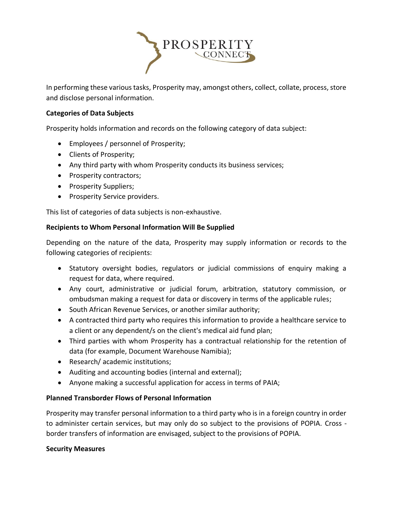

In performing these various tasks, Prosperity may, amongst others, collect, collate, process, store and disclose personal information.

## **Categories of Data Subjects**

Prosperity holds information and records on the following category of data subject:

- Employees / personnel of Prosperity;
- Clients of Prosperity;
- Any third party with whom Prosperity conducts its business services;
- Prosperity contractors;
- Prosperity Suppliers;
- Prosperity Service providers.

This list of categories of data subjects is non-exhaustive.

### **Recipients to Whom Personal Information Will Be Supplied**

Depending on the nature of the data, Prosperity may supply information or records to the following categories of recipients:

- Statutory oversight bodies, regulators or judicial commissions of enquiry making a request for data, where required.
- Any court, administrative or judicial forum, arbitration, statutory commission, or ombudsman making a request for data or discovery in terms of the applicable rules;
- South African Revenue Services, or another similar authority;
- A contracted third party who requires this information to provide a healthcare service to a client or any dependent/s on the client's medical aid fund plan;
- Third parties with whom Prosperity has a contractual relationship for the retention of data (for example, Document Warehouse Namibia);
- Research/ academic institutions;
- Auditing and accounting bodies (internal and external);
- Anyone making a successful application for access in terms of PAIA;

### **Planned Transborder Flows of Personal Information**

Prosperity may transfer personal information to a third party who is in a foreign country in order to administer certain services, but may only do so subject to the provisions of POPIA. Cross border transfers of information are envisaged, subject to the provisions of POPIA.

#### **Security Measures**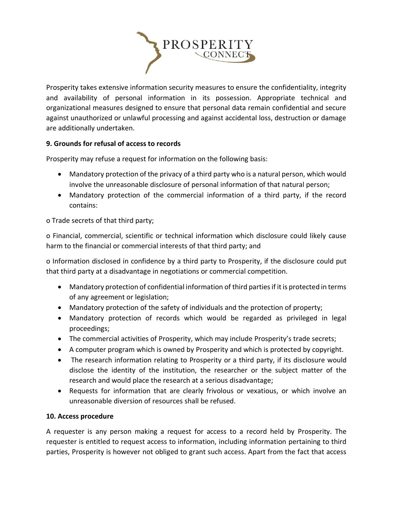

Prosperity takes extensive information security measures to ensure the confidentiality, integrity and availability of personal information in its possession. Appropriate technical and organizational measures designed to ensure that personal data remain confidential and secure against unauthorized or unlawful processing and against accidental loss, destruction or damage are additionally undertaken.

# **9. Grounds for refusal of access to records**

Prosperity may refuse a request for information on the following basis:

- Mandatory protection of the privacy of a third party who is a natural person, which would involve the unreasonable disclosure of personal information of that natural person;
- Mandatory protection of the commercial information of a third party, if the record contains:

o Trade secrets of that third party;

o Financial, commercial, scientific or technical information which disclosure could likely cause harm to the financial or commercial interests of that third party; and

o Information disclosed in confidence by a third party to Prosperity, if the disclosure could put that third party at a disadvantage in negotiations or commercial competition.

- Mandatory protection of confidential information of third parties if it is protected in terms of any agreement or legislation;
- Mandatory protection of the safety of individuals and the protection of property;
- Mandatory protection of records which would be regarded as privileged in legal proceedings;
- The commercial activities of Prosperity, which may include Prosperity's trade secrets;
- A computer program which is owned by Prosperity and which is protected by copyright.
- The research information relating to Prosperity or a third party, if its disclosure would disclose the identity of the institution, the researcher or the subject matter of the research and would place the research at a serious disadvantage;
- Requests for information that are clearly frivolous or vexatious, or which involve an unreasonable diversion of resources shall be refused.

## **10. Access procedure**

A requester is any person making a request for access to a record held by Prosperity. The requester is entitled to request access to information, including information pertaining to third parties, Prosperity is however not obliged to grant such access. Apart from the fact that access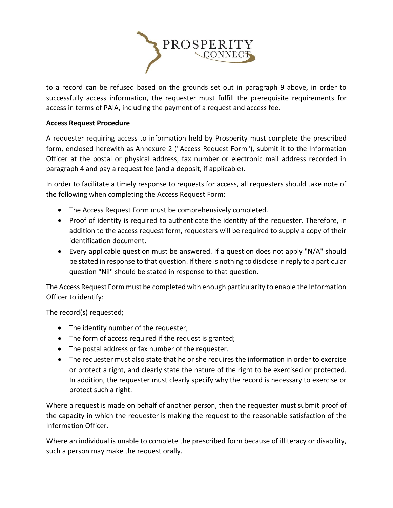

to a record can be refused based on the grounds set out in paragraph 9 above, in order to successfully access information, the requester must fulfill the prerequisite requirements for access in terms of PAIA, including the payment of a request and access fee.

## **Access Request Procedure**

A requester requiring access to information held by Prosperity must complete the prescribed form, enclosed herewith as Annexure 2 ("Access Request Form"), submit it to the Information Officer at the postal or physical address, fax number or electronic mail address recorded in paragraph 4 and pay a request fee (and a deposit, if applicable).

In order to facilitate a timely response to requests for access, all requesters should take note of the following when completing the Access Request Form:

- The Access Request Form must be comprehensively completed.
- Proof of identity is required to authenticate the identity of the requester. Therefore, in addition to the access request form, requesters will be required to supply a copy of their identification document.
- Every applicable question must be answered. If a question does not apply "N/A" should be stated in response to that question. If there is nothing to disclose in reply to a particular question "Nil" should be stated in response to that question.

The Access Request Form must be completed with enough particularity to enable the Information Officer to identify:

The record(s) requested;

- The identity number of the requester;
- The form of access required if the request is granted;
- The postal address or fax number of the requester.
- The requester must also state that he or she requires the information in order to exercise or protect a right, and clearly state the nature of the right to be exercised or protected. In addition, the requester must clearly specify why the record is necessary to exercise or protect such a right.

Where a request is made on behalf of another person, then the requester must submit proof of the capacity in which the requester is making the request to the reasonable satisfaction of the Information Officer.

Where an individual is unable to complete the prescribed form because of illiteracy or disability, such a person may make the request orally.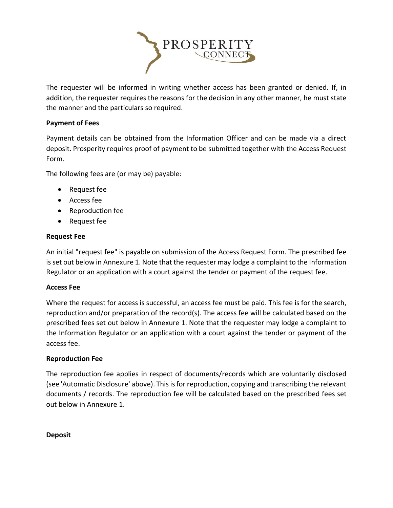

The requester will be informed in writing whether access has been granted or denied. If, in addition, the requester requires the reasons for the decision in any other manner, he must state the manner and the particulars so required.

## **Payment of Fees**

Payment details can be obtained from the Information Officer and can be made via a direct deposit. Prosperity requires proof of payment to be submitted together with the Access Request Form.

The following fees are (or may be) payable:

- Request fee
- Access fee
- Reproduction fee
- Request fee

## **Request Fee**

An initial "request fee" is payable on submission of the Access Request Form. The prescribed fee is set out below in Annexure 1. Note that the requester may lodge a complaint to the Information Regulator or an application with a court against the tender or payment of the request fee.

### **Access Fee**

Where the request for access is successful, an access fee must be paid. This fee is for the search, reproduction and/or preparation of the record(s). The access fee will be calculated based on the prescribed fees set out below in Annexure 1. Note that the requester may lodge a complaint to the Information Regulator or an application with a court against the tender or payment of the access fee.

### **Reproduction Fee**

The reproduction fee applies in respect of documents/records which are voluntarily disclosed (see 'Automatic Disclosure' above). This is for reproduction, copying and transcribing the relevant documents / records. The reproduction fee will be calculated based on the prescribed fees set out below in Annexure 1.

**Deposit**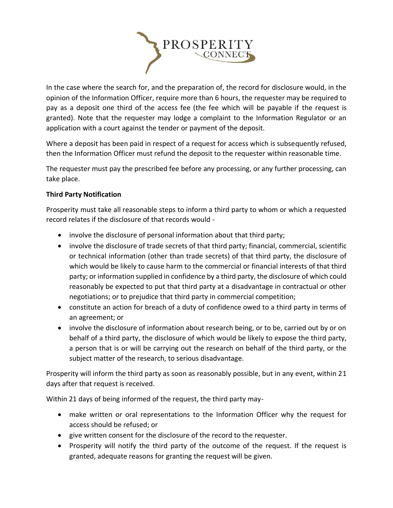

In the case where the search for, and the preparation of, the record for disclosure would, in the opinion of the Information Officer, require more than 6 hours, the requester may be required to pay as a deposit one third of the access fee (the fee which will be payable if the request is granted). Note that the requester may lodge a complaint to the Information Regulator or an application with a court against the tender or payment of the deposit.

Where a deposit has been paid in respect of a request for access which is subsequently refused, then the Information Officer must refund the deposit to the requester within reasonable time.

The requester must pay the prescribed fee before any processing, or any further processing, can take place.

## **Third Party Notification**

Prosperity must take all reasonable steps to inform a third party to whom or which a requested record relates if the disclosure of that records would -

- involve the disclosure of personal information about that third party;
- involve the disclosure of trade secrets of that third party; financial, commercial, scientific or technical information (other than trade secrets) of that third party, the disclosure of which would be likely to cause harm to the commercial or financial interests of that third party; or information supplied in confidence by a third party, the disclosure of which could reasonably be expected to put that third party at a disadvantage in contractual or other negotiations; or to prejudice that third party in commercial competition;
- constitute an action for breach of a duty of confidence owed to a third party in terms of an agreement; or
- involve the disclosure of information about research being, or to be, carried out by or on behalf of a third party, the disclosure of which would be likely to expose the third party, a person that is or will be carrying out the research on behalf of the third party, or the subject matter of the research, to serious disadvantage.

Prosperity will inform the third party as soon as reasonably possible, but in any event, within 21 days after that request is received.

Within 21 days of being informed of the request, the third party may-

- make written or oral representations to the Information Officer why the request for access should be refused; or
- give written consent for the disclosure of the record to the requester.
- Prosperity will notify the third party of the outcome of the request. If the request is granted, adequate reasons for granting the request will be given.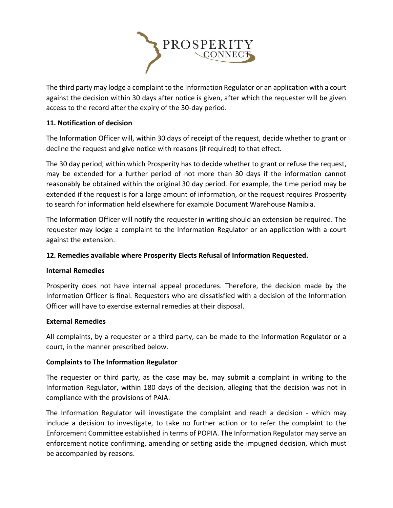

The third party may lodge a complaint to the Information Regulator or an application with a court against the decision within 30 days after notice is given, after which the requester will be given access to the record after the expiry of the 30-day period.

## **11. Notification of decision**

The Information Officer will, within 30 days of receipt of the request, decide whether to grant or decline the request and give notice with reasons (if required) to that effect.

The 30 day period, within which Prosperity has to decide whether to grant or refuse the request, may be extended for a further period of not more than 30 days if the information cannot reasonably be obtained within the original 30 day period. For example, the time period may be extended if the request is for a large amount of information, or the request requires Prosperity to search for information held elsewhere for example Document Warehouse Namibia.

The Information Officer will notify the requester in writing should an extension be required. The requester may lodge a complaint to the Information Regulator or an application with a court against the extension.

## **12. Remedies available where Prosperity Elects Refusal of Information Requested.**

### **Internal Remedies**

Prosperity does not have internal appeal procedures. Therefore, the decision made by the Information Officer is final. Requesters who are dissatisfied with a decision of the Information Officer will have to exercise external remedies at their disposal.

### **External Remedies**

All complaints, by a requester or a third party, can be made to the Information Regulator or a court, in the manner prescribed below.

### **Complaints to The Information Regulator**

The requester or third party, as the case may be, may submit a complaint in writing to the Information Regulator, within 180 days of the decision, alleging that the decision was not in compliance with the provisions of PAIA.

The Information Regulator will investigate the complaint and reach a decision - which may include a decision to investigate, to take no further action or to refer the complaint to the Enforcement Committee established in terms of POPIA. The Information Regulator may serve an enforcement notice confirming, amending or setting aside the impugned decision, which must be accompanied by reasons.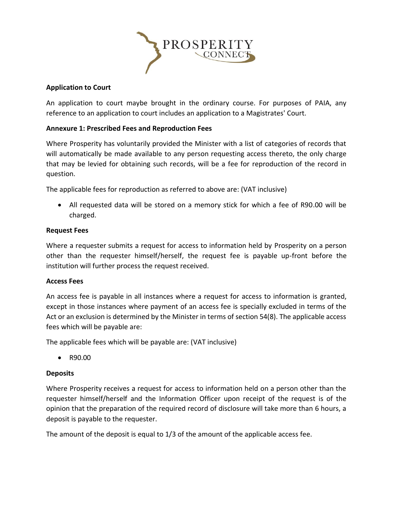

## **Application to Court**

An application to court maybe brought in the ordinary course. For purposes of PAIA, any reference to an application to court includes an application to a Magistrates' Court.

## **Annexure 1: Prescribed Fees and Reproduction Fees**

Where Prosperity has voluntarily provided the Minister with a list of categories of records that will automatically be made available to any person requesting access thereto, the only charge that may be levied for obtaining such records, will be a fee for reproduction of the record in question.

The applicable fees for reproduction as referred to above are: (VAT inclusive)

• All requested data will be stored on a memory stick for which a fee of R90.00 will be charged.

### **Request Fees**

Where a requester submits a request for access to information held by Prosperity on a person other than the requester himself/herself, the request fee is payable up-front before the institution will further process the request received.

### **Access Fees**

An access fee is payable in all instances where a request for access to information is granted, except in those instances where payment of an access fee is specially excluded in terms of the Act or an exclusion is determined by the Minister in terms of section 54(8). The applicable access fees which will be payable are:

The applicable fees which will be payable are: (VAT inclusive)

• R90.00

### **Deposits**

Where Prosperity receives a request for access to information held on a person other than the requester himself/herself and the Information Officer upon receipt of the request is of the opinion that the preparation of the required record of disclosure will take more than 6 hours, a deposit is payable to the requester.

The amount of the deposit is equal to 1/3 of the amount of the applicable access fee.